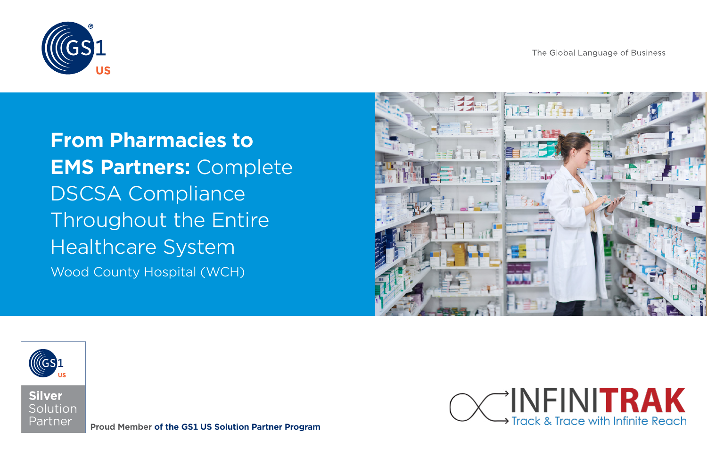The Global Language of Business



**From Pharmacies to EMS Partners:** Complete DSCSA Compliance Throughout the Entire Healthcare System Wood County Hospital (WCH)







**Proud Member of the GS1 US Solution Partner Program**

INFINITRAK **Track & Trace with Infinite Reach**